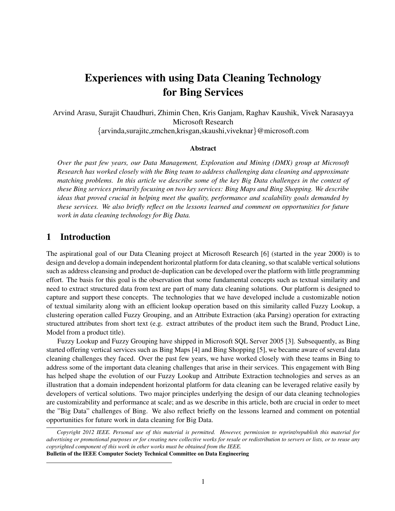# Experiences with using Data Cleaning Technology for Bing Services

Arvind Arasu, Surajit Chaudhuri, Zhimin Chen, Kris Ganjam, Raghav Kaushik, Vivek Narasayya Microsoft Research

*{*arvinda,surajitc,zmchen,krisgan,skaushi,viveknar*}*@microsoft.com

### Abstract

*Over the past few years, our Data Management, Exploration and Mining (DMX) group at Microsoft Research has worked closely with the Bing team to address challenging data cleaning and approximate matching problems. In this article we describe some of the key Big Data challenges in the context of these Bing services primarily focusing on two key services: Bing Maps and Bing Shopping. We describe ideas that proved crucial in helping meet the quality, performance and scalability goals demanded by these services. We also briefly reflect on the lessons learned and comment on opportunities for future work in data cleaning technology for Big Data.*

## 1 Introduction

The aspirational goal of our Data Cleaning project at Microsoft Research [6] (started in the year 2000) is to design and develop a domain independent horizontal platform for data cleaning, so that scalable vertical solutions such as address cleansing and product de-duplication can be developed over the platform with little programming effort. The basis for this goal is the observation that some fundamental concepts such as textual similarity and need to extract structured data from text are part of many data cleaning solutions. Our platform is designed to capture and support these concepts. The technologies that we have developed include a customizable notion of textual similarity along with an efficient lookup operation based on this similarity called Fuzzy Lookup, a clustering operation called Fuzzy Grouping, and an Attribute Extraction (aka Parsing) operation for extracting structured attributes from short text (e.g. extract attributes of the product item such the Brand, Product Line, Model from a product title).

Fuzzy Lookup and Fuzzy Grouping have shipped in Microsoft SQL Server 2005 [3]. Subsequently, as Bing started offering vertical services such as Bing Maps [4] and Bing Shopping [5], we became aware of several data cleaning challenges they faced. Over the past few years, we have worked closely with these teams in Bing to address some of the important data cleaning challenges that arise in their services. This engagement with Bing has helped shape the evolution of our Fuzzy Lookup and Attribute Extraction technologies and serves as an illustration that a domain independent horizontal platform for data cleaning can be leveraged relative easily by developers of vertical solutions. Two major principles underlying the design of our data cleaning technologies are customizability and performance at scale; and as we describe in this article, both are crucial in order to meet the "Big Data" challenges of Bing. We also reflect briefly on the lessons learned and comment on potential opportunities for future work in data cleaning for Big Data.

*Copyright 2012 IEEE. Personal use of this material is permitted. However, permission to reprint/republish this material for advertising or promotional purposes or for creating new collective works for resale or redistribution to servers or lists, or to reuse any copyrighted component of this work in other works must be obtained from the IEEE.*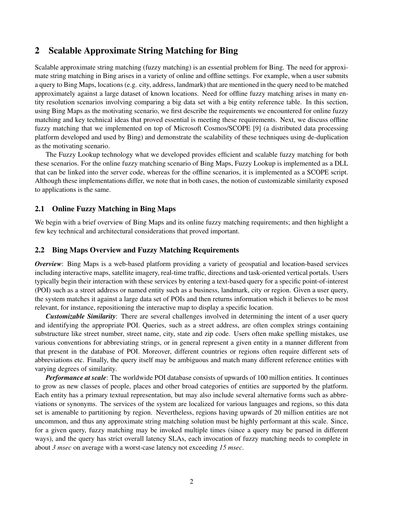# 2 Scalable Approximate String Matching for Bing

Scalable approximate string matching (fuzzy matching) is an essential problem for Bing. The need for approximate string matching in Bing arises in a variety of online and offline settings. For example, when a user submits a query to Bing Maps, locations (e.g. city, address, landmark) that are mentioned in the query need to be matched approximately against a large dataset of known locations. Need for offline fuzzy matching arises in many entity resolution scenarios involving comparing a big data set with a big entity reference table. In this section, using Bing Maps as the motivating scenario, we first describe the requirements we encountered for online fuzzy matching and key technical ideas that proved essential is meeting these requirements. Next, we discuss offline fuzzy matching that we implemented on top of Microsoft Cosmos/SCOPE [9] (a distributed data processing platform developed and used by Bing) and demonstrate the scalability of these techniques using de-duplication as the motivating scenario.

The Fuzzy Lookup technology what we developed provides efficient and scalable fuzzy matching for both these scenarios. For the online fuzzy matching scenario of Bing Maps, Fuzzy Lookup is implemented as a DLL that can be linked into the server code, whereas for the offline scenarios, it is implemented as a SCOPE script. Although these implementations differ, we note that in both cases, the notion of customizable similarity exposed to applications is the same.

### 2.1 Online Fuzzy Matching in Bing Maps

We begin with a brief overview of Bing Maps and its online fuzzy matching requirements; and then highlight a few key technical and architectural considerations that proved important.

### 2.2 Bing Maps Overview and Fuzzy Matching Requirements

*Overview*: Bing Maps is a web-based platform providing a variety of geospatial and location-based services including interactive maps, satellite imagery, real-time traffic, directions and task-oriented vertical portals. Users typically begin their interaction with these services by entering a text-based query for a specific point-of-interest (POI) such as a street address or named entity such as a business, landmark, city or region. Given a user query, the system matches it against a large data set of POIs and then returns information which it believes to be most relevant, for instance, repositioning the interactive map to display a specific location.

*Customizable Similarity*: There are several challenges involved in determining the intent of a user query and identifying the appropriate POI. Queries, such as a street address, are often complex strings containing substructure like street number, street name, city, state and zip code. Users often make spelling mistakes, use various conventions for abbreviating strings, or in general represent a given entity in a manner different from that present in the database of POI. Moreover, different countries or regions often require different sets of abbreviations etc. Finally, the query itself may be ambiguous and match many different reference entities with varying degrees of similarity.

*Performance at scale*: The worldwide POI database consists of upwards of 100 million entities. It continues to grow as new classes of people, places and other broad categories of entities are supported by the platform. Each entity has a primary textual representation, but may also include several alternative forms such as abbreviations or synonyms. The services of the system are localized for various languages and regions, so this data set is amenable to partitioning by region. Nevertheless, regions having upwards of 20 million entities are not uncommon, and thus any approximate string matching solution must be highly performant at this scale. Since, for a given query, fuzzy matching may be invoked multiple times (since a query may be parsed in different ways), and the query has strict overall latency SLAs, each invocation of fuzzy matching needs to complete in about *3 msec* on average with a worst-case latency not exceeding *15 msec*.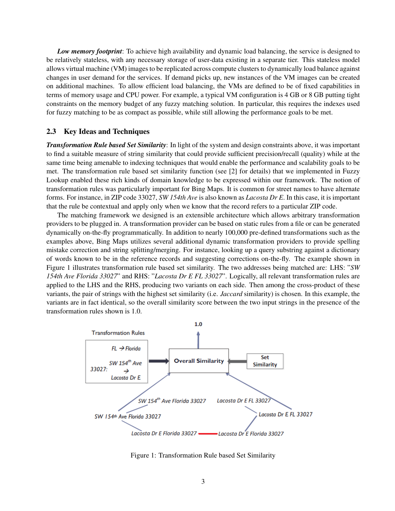*Low memory footprint*: To achieve high availability and dynamic load balancing, the service is designed to be relatively stateless, with any necessary storage of user-data existing in a separate tier. This stateless model allows virtual machine (VM) images to be replicated across compute clusters to dynamically load balance against changes in user demand for the services. If demand picks up, new instances of the VM images can be created on additional machines. To allow efficient load balancing, the VMs are defined to be of fixed capabilities in terms of memory usage and CPU power. For example, a typical VM configuration is 4 GB or 8 GB putting tight constraints on the memory budget of any fuzzy matching solution. In particular, this requires the indexes used for fuzzy matching to be as compact as possible, while still allowing the performance goals to be met.

### 2.3 Key Ideas and Techniques

*Transformation Rule based Set Similarity*: In light of the system and design constraints above, it was important to find a suitable measure of string similarity that could provide sufficient precision/recall (quality) while at the same time being amenable to indexing techniques that would enable the performance and scalability goals to be met. The transformation rule based set similarity function (see [2] for details) that we implemented in Fuzzy Lookup enabled these rich kinds of domain knowledge to be expressed within our framework. The notion of transformation rules was particularly important for Bing Maps. It is common for street names to have alternate forms. For instance, in ZIP code 33027, *SW 154th Ave* is also known as *Lacosta Dr E*. In this case, it is important that the rule be contextual and apply only when we know that the record refers to a particular ZIP code.

The matching framework we designed is an extensible architecture which allows arbitrary transformation providers to be plugged in. A transformation provider can be based on static rules from a file or can be generated dynamically on-the-fly programmatically. In addition to nearly 100,000 pre-defined transformations such as the examples above, Bing Maps utilizes several additional dynamic transformation providers to provide spelling mistake correction and string splitting/merging. For instance, looking up a query substring against a dictionary of words known to be in the reference records and suggesting corrections on-the-fly. The example shown in Figure 1 illustrates transformation rule based set similarity. The two addresses being matched are: LHS: "*SW 154th Ave Florida 33027*" and RHS: "*Lacosta Dr E FL 33027*". Logically, all relevant transformation rules are applied to the LHS and the RHS, producing two variants on each side. Then among the cross-product of these variants, the pair of strings with the highest set similarity (i.e. *Jaccard* similarity) is chosen. In this example, the variants are in fact identical, so the overall similarity score between the two input strings in the presence of the transformation rules shown is 1.0.



Figure 1: Transformation Rule based Set Similarity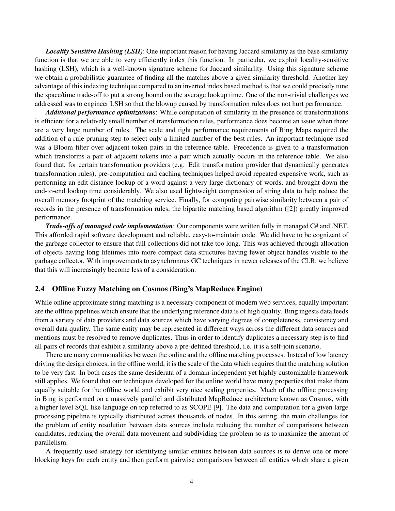*Locality Sensitive Hashing (LSH)*: One important reason for having Jaccard similarity as the base similarity function is that we are able to very efficiently index this function. In particular, we exploit locality-sensitive hashing (LSH), which is a well-known signature scheme for Jaccard similarlity. Using this signature scheme we obtain a probabilistic guarantee of finding all the matches above a given similarity threshold. Another key advantage of this indexing technique compared to an inverted index based method is that we could precisely tune the space/time trade-off to put a strong bound on the average lookup time. One of the non-trivial challenges we addressed was to engineer LSH so that the blowup caused by transformation rules does not hurt performance.

*Additional performance optimizations*: While computation of similarity in the presence of transformations is efficient for a relatively small number of transformation rules, performance does become an issue when there are a very large number of rules. The scale and tight performance requirements of Bing Maps required the addition of a rule pruning step to select only a limited number of the best rules. An important technique used was a Bloom filter over adjacent token pairs in the reference table. Precedence is given to a transformation which transforms a pair of adjacent tokens into a pair which actually occurs in the reference table. We also found that, for certain transformation providers (e.g. Edit transformation provider that dynamically generates transformation rules), pre-computation and caching techniques helped avoid repeated expensive work, such as performing an edit distance lookup of a word against a very large dictionary of words, and brought down the end-to-end lookup time considerably. We also used lightweight compression of string data to help reduce the overall memory footprint of the matching service. Finally, for computing pairwise similarity between a pair of records in the presence of transformation rules, the bipartite matching based algorithm ([2]) greatly improved performance.

*Trade-offs of managed code implementation*: Our components were written fully in managed C# and .NET. This afforded rapid software development and reliable, easy-to-maintain code. We did have to be cognizant of the garbage collector to ensure that full collections did not take too long. This was achieved through allocation of objects having long lifetimes into more compact data structures having fewer object handles visible to the garbage collector. With improvements to asynchronous GC techniques in newer releases of the CLR, we believe that this will increasingly become less of a consideration.

### 2.4 Offline Fuzzy Matching on Cosmos (Bing's MapReduce Engine)

While online approximate string matching is a necessary component of modern web services, equally important are the offline pipelines which ensure that the underlying reference data is of high quality. Bing ingests data feeds from a variety of data providers and data sources which have varying degrees of completeness, consistency and overall data quality. The same entity may be represented in different ways across the different data sources and mentions must be resolved to remove duplicates. Thus in order to identify duplicates a necessary step is to find all pairs of records that exhibit a similarity above a pre-defined threshold, i.e. it is a self-join scenario.

There are many commonalities between the online and the offline matching processes. Instead of low latency driving the design choices, in the offline world, it is the scale of the data which requires that the matching solution to be very fast. In both cases the same desiderata of a domain-independent yet highly customizable framework still applies. We found that our techniques developed for the online world have many properties that make them equally suitable for the offline world and exhibit very nice scaling properties. Much of the offline processing in Bing is performed on a massively parallel and distributed MapReduce architecture known as Cosmos, with a higher level SQL like language on top referred to as SCOPE [9]. The data and computation for a given large processing pipeline is typically distributed across thousands of nodes. In this setting, the main challenges for the problem of entity resolution between data sources include reducing the number of comparisons between candidates, reducing the overall data movement and subdividing the problem so as to maximize the amount of parallelism.

A frequently used strategy for identifying similar entities between data sources is to derive one or more blocking keys for each entity and then perform pairwise comparisons between all entities which share a given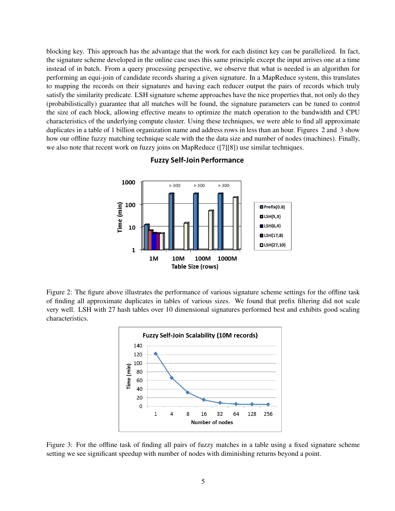blocking key. This approach has the advantage that the work for each distinct key can be parallelized. In fact, the signature scheme developed in the online case uses this same principle except the input arrives one at a time instead of in batch. From a query processing perspective, we observe that what is needed is an algorithm for performing an equi-join of candidate records sharing a given signature. In a MapReduce system, this translates to mapping the records on their signatures and having each reducer output the pairs of records which truly satisfy the similarity predicate. LSH signature scheme approaches have the nice properties that, not only do they (probabilistically) guarantee that all matches will be found, the signature parameters can be tuned to control the size of each block, allowing effective means to optimize the match operation to the bandwidth and CPU characteristics of the underlying compute cluster. Using these techniques, we were able to find all approximate duplicates in a table of 1 billion organization name and address rows in less than an hour. Figures 2 and 3 show how our offline fuzzy matching technique scale with the the data size and number of nodes (machines). Finally, we also note that recent work on fuzzy joins on MapReduce ([7][8]) use similar techniques.



### **Fuzzy Self-Join Performance**

Figure 2: The figure above illustrates the performance of various signature scheme settings for the offline task of finding all approximate duplicates in tables of various sizes. We found that prefix filtering did not scale very well. LSH with 27 hash tables over 10 dimensional signatures performed best and exhibits good scaling characteristics.



Figure 3: For the offline task of finding all pairs of fuzzy matches in a table using a fixed signature scheme setting we see significant speedup with number of nodes with diminishing returns beyond a point.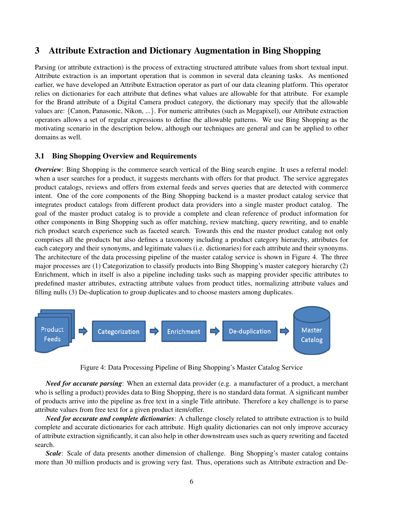# 3 Attribute Extraction and Dictionary Augmentation in Bing Shopping

Parsing (or attribute extraction) is the process of extracting structured attribute values from short textual input. Attribute extraction is an important operation that is common in several data cleaning tasks. As mentioned earlier, we have developed an Attribute Extraction operator as part of our data cleaning platform. This operator relies on dictionaries for each attribute that defines what values are allowable for that attribute. For example for the Brand attribute of a Digital Camera product category, the dictionary may specify that the allowable values are: *{*Canon, Panasonic, Nikon, ...*}*. For numeric attributes (such as Megapixel), our Attribute extraction operators allows a set of regular expressions to define the allowable patterns. We use Bing Shopping as the motivating scenario in the description below, although our techniques are general and can be applied to other domains as well.

### 3.1 Bing Shopping Overview and Requirements

*Overview*: Bing Shopping is the commerce search vertical of the Bing search engine. It uses a referral model: when a user searches for a product, it suggests merchants with offers for that product. The service aggregates product catalogs, reviews and offers from external feeds and serves queries that are detected with commerce intent. One of the core components of the Bing Shopping backend is a master product catalog service that integrates product catalogs from different product data providers into a single master product catalog. The goal of the master product catalog is to provide a complete and clean reference of product information for other components in Bing Shopping such as offer matching, review matching, query rewriting, and to enable rich product search experience such as faceted search. Towards this end the master product catalog not only comprises all the products but also defines a taxonomy including a product category hierarchy, attributes for each category and their synonyms, and legitimate values (i.e. dictionaries) for each attribute and their synonyms. The architecture of the data processing pipeline of the master catalog service is shown in Figure 4. The three major processes are (1) Categorization to classify products into Bing Shopping's master category hierarchy (2) Enrichment, which in itself is also a pipeline including tasks such as mapping provider specific attributes to predefined master attributes, extracting attribute values from product titles, normalizing attribute values and filling nulls (3) De-duplication to group duplicates and to choose masters among duplicates.



Figure 4: Data Processing Pipeline of Bing Shopping's Master Catalog Service

*Need for accurate parsing*: When an external data provider (e.g. a manufacturer of a product, a merchant who is selling a product) provides data to Bing Shopping, there is no standard data format. A significant number of products arrive into the pipeline as free text in a single Title attribute. Therefore a key challenge is to parse attribute values from free text for a given product item/offer.

*Need for accurate and complete dictionaries*: A challenge closely related to attribute extraction is to build complete and accurate dictionaries for each attribute. High quality dictionaries can not only improve accuracy of attribute extraction significantly, it can also help in other downstream uses such as query rewriting and faceted search.

*Scale*: Scale of data presents another dimension of challenge. Bing Shopping's master catalog contains more than 30 million products and is growing very fast. Thus, operations such as Attribute extraction and De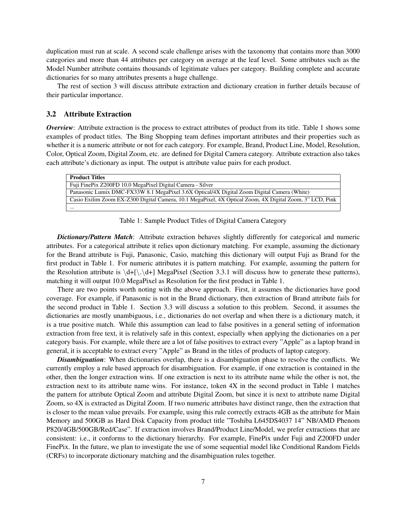duplication must run at scale. A second scale challenge arises with the taxonomy that contains more than 3000 categories and more than 44 attributes per category on average at the leaf level. Some attributes such as the Model Number attribute contains thousands of legitimate values per category. Building complete and accurate dictionaries for so many attributes presents a huge challenge.

The rest of section 3 will discuss attribute extraction and dictionary creation in further details because of their particular importance.

### 3.2 Attribute Extraction

*Overview*: Attribute extraction is the process to extract attributes of product from its title. Table 1 shows some examples of product titles. The Bing Shopping team defines important attributes and their properties such as whether it is a numeric attribute or not for each category. For example, Brand, Product Line, Model, Resolution, Color, Optical Zoom, Digital Zoom, etc. are defined for Digital Camera category. Attribute extraction also takes each attribute's dictionary as input. The output is attribute value pairs for each product.

| <b>Product Titles</b>                                                                                    |
|----------------------------------------------------------------------------------------------------------|
| Fuji Fine Pix Z200FD 10.0 Mega Pixel Digital Camera - Silver                                             |
| Panasonic Lumix DMC-FX33W 8.1 MegaPixel 3.6X Optical/4X Digital Zoom Digital Camera (White)              |
| Casio Exilim Zoom EX-Z300 Digital Camera, 10.1 MegaPixel, 4X Optical Zoom, 4X Digital Zoom, 3" LCD, Pink |
| $\cdots$                                                                                                 |

Table 1: Sample Product Titles of Digital Camera Category

*Dictionary/Pattern Match*: Attribute extraction behaves slightly differently for categorical and numeric attributes. For a categorical attribute it relies upon dictionary matching. For example, assuming the dictionary for the Brand attribute is Fuji, Panasonic, Casio, matching this dictionary will output Fuji as Brand for the first product in Table 1. For numeric attributes it is pattern matching. For example, assuming the pattern for the Resolution attribute is  $\d+[\cdot,\d+]$  MegaPixel (Section 3.3.1 will discuss how to generate these patterns), matching it will output 10.0 MegaPixel as Resolution for the first product in Table 1.

There are two points worth noting with the above approach. First, it assumes the dictionaries have good coverage. For example, if Panasonic is not in the Brand dictionary, then extraction of Brand attribute fails for the second product in Table 1. Section 3.3 will discuss a solution to this problem. Second, it assumes the dictionaries are mostly unambiguous, i.e., dictionaries do not overlap and when there is a dictionary match, it is a true positive match. While this assumption can lead to false positives in a general setting of information extraction from free text, it is relatively safe in this context, especially when applying the dictionaries on a per category basis. For example, while there are a lot of false positives to extract every "Apple" as a laptop brand in general, it is acceptable to extract every "Apple" as Brand in the titles of products of laptop category.

*Disambiguation*: When dictionaries overlap, there is a disambiguation phase to resolve the conflicts. We currently employ a rule based approach for disambiguation. For example, if one extraction is contained in the other, then the longer extraction wins. If one extraction is next to its attribute name while the other is not, the extraction next to its attribute name wins. For instance, token 4X in the second product in Table 1 matches the pattern for attribute Optical Zoom and attribute Digital Zoom, but since it is next to attribute name Digital Zoom, so 4X is extracted as Digital Zoom. If two numeric attributes have distinct range, then the extraction that is closer to the mean value prevails. For example, using this rule correctly extracts 4GB as the attribute for Main Memory and 500GB as Hard Disk Capacity from product title "Toshiba L645DS4037 14" NB/AMD Phenom P820/4GB/500GB/Red/Case". If extraction involves Brand/Product Line/Model, we prefer extractions that are consistent: i.e., it conforms to the dictionary hierarchy. For example, FinePix under Fuji and Z200FD under FinePix. In the future, we plan to investigate the use of some sequential model like Conditional Random Fields (CRFs) to incorporate dictionary matching and the disambiguation rules together.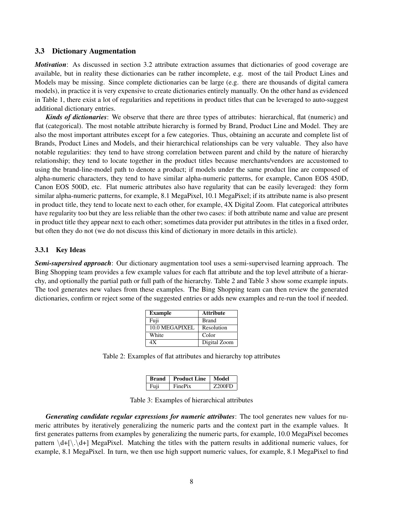### 3.3 Dictionary Augmentation

*Motivation*: As discussed in section 3.2 attribute extraction assumes that dictionaries of good coverage are available, but in reality these dictionaries can be rather incomplete, e.g. most of the tail Product Lines and Models may be missing. Since complete dictionaries can be large (e.g. there are thousands of digital camera models), in practice it is very expensive to create dictionaries entirely manually. On the other hand as evidenced in Table 1, there exist a lot of regularities and repetitions in product titles that can be leveraged to auto-suggest additional dictionary entries.

*Kinds of dictionaries*: We observe that there are three types of attributes: hierarchical, flat (numeric) and flat (categorical). The most notable attribute hierarchy is formed by Brand, Product Line and Model. They are also the most important attributes except for a few categories. Thus, obtaining an accurate and complete list of Brands, Product Lines and Models, and their hierarchical relationships can be very valuable. They also have notable regularities: they tend to have strong correlation between parent and child by the nature of hierarchy relationship; they tend to locate together in the product titles because merchants/vendors are accustomed to using the brand-line-model path to denote a product; if models under the same product line are composed of alpha-numeric characters, they tend to have similar alpha-numeric patterns, for example, Canon EOS 450D, Canon EOS 500D, etc. Flat numeric attributes also have regularity that can be easily leveraged: they form similar alpha-numeric patterns, for example, 8.1 MegaPixel, 10.1 MegaPixel; if its attribute name is also present in product title, they tend to locate next to each other, for example, 4X Digital Zoom. Flat categorical attributes have regularity too but they are less reliable than the other two cases: if both attribute name and value are present in product title they appear next to each other; sometimes data provider put attributes in the titles in a fixed order, but often they do not (we do not discuss this kind of dictionary in more details in this article).

### 3.3.1 Key Ideas

*Semi-supersived approach*: Our dictionary augmentation tool uses a semi-supervised learning approach. The Bing Shopping team provides a few example values for each flat attribute and the top level attribute of a hierarchy, and optionally the partial path or full path of the hierarchy. Table 2 and Table 3 show some example inputs. The tool generates new values from these examples. The Bing Shopping team can then review the generated dictionaries, confirm or reject some of the suggested entries or adds new examples and re-run the tool if needed.

| <b>Example</b> | <b>Attribute</b> |  |
|----------------|------------------|--|
| Fuji           | <b>Brand</b>     |  |
| 10.0 MEGAPIXEL | Resolution       |  |
| White          | Color            |  |
| 4Х             | Digital Zoom     |  |

Table 2: Examples of flat attributes and hierarchy top attributes

| <b>Brand</b> | <b>Product Line</b> | Model         |
|--------------|---------------------|---------------|
| Fuji         | FinePix             | <b>Z200FD</b> |

Table 3: Examples of hierarchical attributes

*Generating candidate regular expressions for numeric attributes*: The tool generates new values for numeric attributes by iteratively generalizing the numeric parts and the context part in the example values. It first generates patterns from examples by generalizing the numeric parts, for example, 10.0 MegaPixel becomes pattern  $\dagger$ <sub>1</sub>  $\dagger$ <sub>1</sub> MegaPixel. Matching the titles with the pattern results in additional numeric values, for example, 8.1 MegaPixel. In turn, we then use high support numeric values, for example, 8.1 MegaPixel to find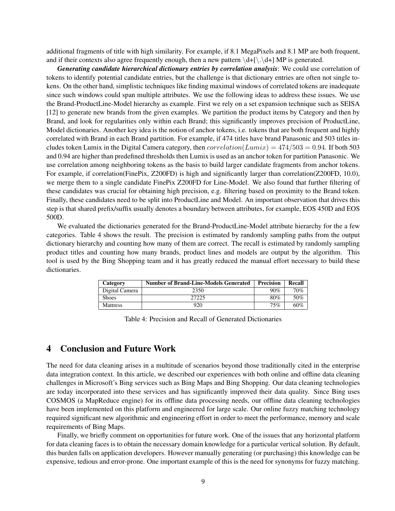additional fragments of title with high similarity. For example, if 8.1 MegaPixels and 8.1 MP are both frequent, and if their contexts also agree frequently enough, then a new pattern  $\det[\cdot, \det]$  MP is generated.

*Generating candidate hierarchical dictionary entries by correlation analysis*: We could use correlation of tokens to identify potential candidate entries, but the challenge is that dictionary entries are often not single tokens. On the other hand, simplistic techniques like finding maximal windows of correlated tokens are inadequate since such windows could span multiple attributes. We use the following ideas to address these issues. We use the Brand-ProductLine-Model hierarchy as example. First we rely on a set expansion technique such as SEISA [12] to generate new brands from the given examples. We partition the product items by Category and then by Brand, and look for regularities only within each Brand; this significantly improves precision of ProductLine, Model dictionaries. Another key idea is the notion of anchor tokens, i.e. tokens that are both frequent and highly correlated with Brand in each Brand partition. For example, if 474 titles have brand Panasonic and 503 titles includes token Lumix in the Digital Camera category, then  $correlation(Lumix) = 474/503 = 0.94$ . If both 503 and 0.94 are higher than predefined thresholds then Lumix is used as an anchor token for partition Panasonic. We use correlation among neighboring tokens as the basis to build larger candidate fragments from anchor tokens. For example, if correlation(FinePix, Z200FD) is high and significantly larger than correlation(Z200FD, 10.0), we merge them to a single candidate FinePix Z200FD for Line-Model. We also found that further filtering of these candidates was crucial for obtaining high precision, e.g. filtering based on proximity to the Brand token. Finally, these candidates need to be split into ProductLine and Model. An important observation that drives this step is that shared prefix/suffix usually denotes a boundary between attributes, for example, EOS 450D and EOS 500D.

We evaluated the dictionaries generated for the Brand-ProductLine-Model attribute hierarchy for the a few categories. Table 4 shows the result. The precision is estimated by randomly sampling paths from the output dictionary hierarchy and counting how many of them are correct. The recall is estimated by randomly sampling product titles and counting how many brands, product lines and models are output by the algorithm. This tool is used by the Bing Shopping team and it has greatly reduced the manual effort necessary to build these dictionaries.

| Category        | <b>Number of Brand-Line-Models Generated</b> | <b>Precision</b> | Recall |
|-----------------|----------------------------------------------|------------------|--------|
| Digital Camera  | 2350                                         | 90%              | 70%    |
| <b>Shoes</b>    | 27225                                        | 80%              | 50%    |
| <b>Mattress</b> | 920                                          | 75%              | 60%    |

Table 4: Precision and Recall of Generated Dictionaries

# 4 Conclusion and Future Work

The need for data cleaning arises in a multitude of scenarios beyond those traditionally cited in the enterprise data integration context. In this article, we described our experiences with both online and offline data cleaning challenges in Microsoft's Bing services such as Bing Maps and Bing Shopping. Our data cleaning technologies are today incorporated into these services and has significantly improved their data quality. Since Bing uses COSMOS (a MapReduce engine) for its offline data processing needs, our offline data cleaning technologies have been implemented on this platform and engineered for large scale. Our online fuzzy matching technology required significant new algorithmic and engineering effort in order to meet the performance, memory and scale requirements of Bing Maps.

Finally, we briefly comment on opportunities for future work. One of the issues that any horizontal platform for data cleaning faces is to obtain the necessary domain knowledge for a particular vertical solution. By default, this burden falls on application developers. However manually generating (or purchasing) this knowledge can be expensive, tedious and error-prone. One important example of this is the need for synonyms for fuzzy matching.